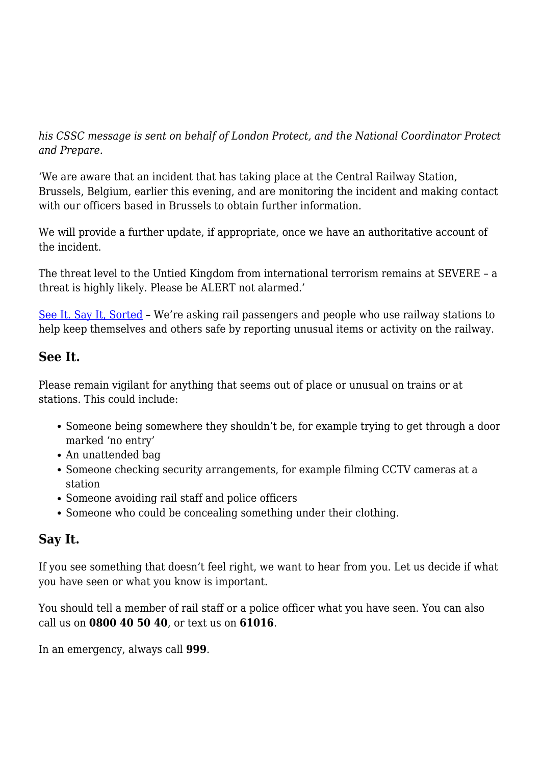*his CSSC message is sent on behalf of London Protect, and the National Coordinator Protect and Prepare.*

'We are aware that an incident that has taking place at the Central Railway Station, Brussels, Belgium, earlier this evening, and are monitoring the incident and making contact with our officers based in Brussels to obtain further information.

We will provide a further update, if appropriate, once we have an authoritative account of the incident.

The threat level to the Untied Kingdom from international terrorism remains at SEVERE – a threat is highly likely. Please be ALERT not alarmed.'

[See It. Say It, Sorted](http://www.btp.police.uk/advice_and_information/see_it_say_it_sorted.aspx) – We're asking rail passengers and people who use railway stations to help keep themselves and others safe by reporting unusual items or activity on the railway.

## **See It.**

Please remain vigilant for anything that seems out of place or unusual on trains or at stations. This could include:

- Someone being somewhere they shouldn't be, for example trying to get through a door marked 'no entry'
- An unattended bag
- Someone checking security arrangements, for example filming CCTV cameras at a station
- Someone avoiding rail staff and police officers
- Someone who could be concealing something under their clothing.

## **Say It.**

If you see something that doesn't feel right, we want to hear from you. Let us decide if what you have seen or what you know is important.

You should tell a member of rail staff or a police officer what you have seen. You can also call us on **0800 40 50 40**, or text us on **61016**.

In an emergency, always call **999**.